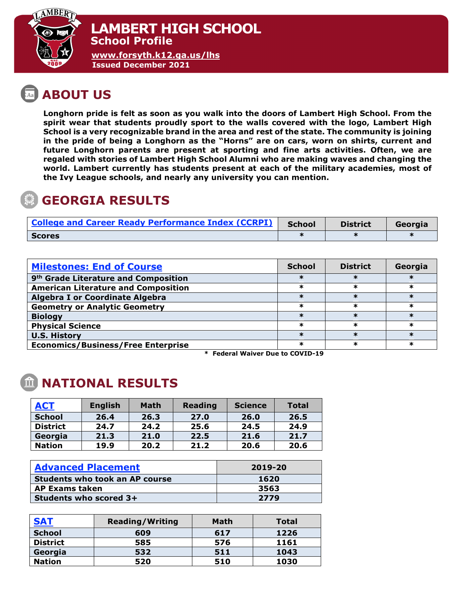

**[www.forsyth.k12.ga.us/lhs](http://www.forsyth.k12.ga.us/lhs) Issued December 2021**

# **ABOUT US**

**Longhorn pride is felt as soon as you walk into the doors of Lambert High School. From the spirit wear that students proudly sport to the walls covered with the logo, Lambert High School is a very recognizable brand in the area and rest of the state. The community is joining in the pride of being a Longhorn as the "Horns" are on cars, worn on shirts, current and future Longhorn parents are present at sporting and fine arts activities. Often, we are regaled with stories of Lambert High School Alumni who are making waves and changing the world. Lambert currently has students present at each of the military academies, most of the Ivy League schools, and nearly any university you can mention.** 

### **GEORGIA RESULTS**

| <b>College and Career Ready Performance Index (CCRPI)</b> | <b>School</b> | <b>District</b> | Georgia |
|-----------------------------------------------------------|---------------|-----------------|---------|
| <b>Scores</b>                                             |               |                 |         |

| <b>Milestones: End of Course</b>                 | <b>School</b> | <b>District</b> | Georgia |
|--------------------------------------------------|---------------|-----------------|---------|
| 9 <sup>th</sup> Grade Literature and Composition | ж             |                 |         |
| <b>American Literature and Composition</b>       | ж             | ж               |         |
| <b>Algebra I or Coordinate Algebra</b>           |               |                 |         |
| <b>Geometry or Analytic Geometry</b>             | ж             | ж               | ж       |
| <b>Biology</b>                                   |               |                 |         |
| <b>Physical Science</b>                          | ж             | ж               | ж       |
| <b>U.S. History</b>                              |               |                 |         |
| <b>Economics/Business/Free Enterprise</b>        | ∗             | ж               | $\ast$  |

 **\* Federal Waiver Due to COVID-19**

## **NATIONAL RESULTS**

| <b>ACT</b>      | <b>English</b> | <b>Math</b> | <b>Reading</b> | <b>Science</b> | Total |
|-----------------|----------------|-------------|----------------|----------------|-------|
| <b>School</b>   | 26.4           | 26.3        | 27.0           | 26.0           | 26.5  |
| <b>District</b> | 24.7           | 24.2        | 25.6           | 24.5           | 24.9  |
| Georgia         | 21.3           | 21.0        | 22.5           | 21.6           | 21.7  |
| <b>Nation</b>   | 19.9           | 20.2        | 21.2           | 20.6           | 20.6  |

| <b>Advanced Placement</b>             | 2019-20 |  |  |
|---------------------------------------|---------|--|--|
| <b>Students who took an AP course</b> | 1620    |  |  |
| <b>AP Exams taken</b>                 | 3563    |  |  |
| Students who scored 3+                | 2779    |  |  |

| <b>SAT</b>      | <b>Reading/Writing</b> | <b>Math</b> | <b>Total</b> |
|-----------------|------------------------|-------------|--------------|
| <b>School</b>   | 609                    | 617         | 1226         |
| <b>District</b> | 585                    | 576         | 1161         |
| Georgia         | 532                    | 511         | 1043         |
| <b>Nation</b>   | 520                    | 510         | 1030         |